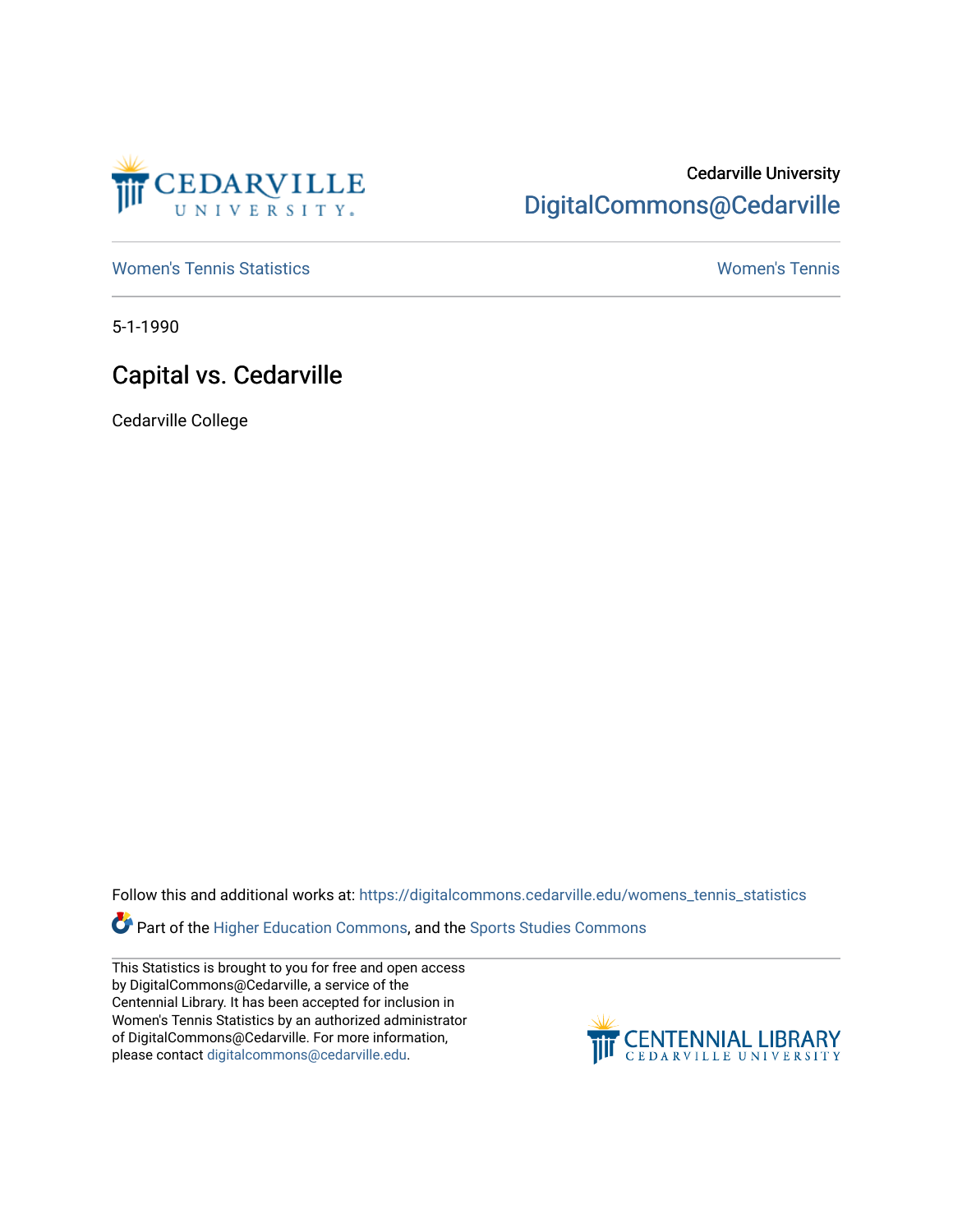

## Cedarville University [DigitalCommons@Cedarville](https://digitalcommons.cedarville.edu/)

[Women's Tennis Statistics](https://digitalcommons.cedarville.edu/womens_tennis_statistics) [Women's Tennis](https://digitalcommons.cedarville.edu/womens_tennis) 

5-1-1990

## Capital vs. Cedarville

Cedarville College

Follow this and additional works at: [https://digitalcommons.cedarville.edu/womens\\_tennis\\_statistics](https://digitalcommons.cedarville.edu/womens_tennis_statistics?utm_source=digitalcommons.cedarville.edu%2Fwomens_tennis_statistics%2F111&utm_medium=PDF&utm_campaign=PDFCoverPages) 

Part of the [Higher Education Commons,](http://network.bepress.com/hgg/discipline/1245?utm_source=digitalcommons.cedarville.edu%2Fwomens_tennis_statistics%2F111&utm_medium=PDF&utm_campaign=PDFCoverPages) and the [Sports Studies Commons](http://network.bepress.com/hgg/discipline/1198?utm_source=digitalcommons.cedarville.edu%2Fwomens_tennis_statistics%2F111&utm_medium=PDF&utm_campaign=PDFCoverPages) 

This Statistics is brought to you for free and open access by DigitalCommons@Cedarville, a service of the Centennial Library. It has been accepted for inclusion in Women's Tennis Statistics by an authorized administrator of DigitalCommons@Cedarville. For more information, please contact [digitalcommons@cedarville.edu](mailto:digitalcommons@cedarville.edu).